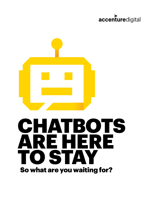# accenturedigital



# CHATBOTS ARE HERE TO STAY So what are you waiting for?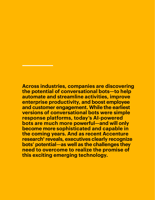**Across industries, companies are discovering the potential of conversational bots—to help automate and streamline activities, improve enterprise productivity, and boost employee and customer engagement. While the earliest versions of conversational bots were simple response platforms, today's AI-powered bots are much more powerful—and will only become more sophisticated and capable in the coming years. And as recent Accenture research<sup>1</sup> reveals, executives clearly recognize bots' potential—as well as the challenges they need to overcome to realize the promise of this exciting emerging technology.**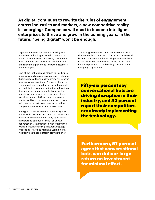**As digital continues to rewrite the rules of engagement across industries and markets, a new competitive reality is emerging: Companies will need to become intelligent enterprises to thrive and grow in the coming years. In the future, "being digital" won't be enough.** 

Organizations will use artificial intelligence and other technologies to help them make faster, more informed decisions, become far more efficient, and craft more personalized and relevant experiences for both customers and employees

One of the first stepping stones to this future are AI-powered messaging solutions, a category that includes a technology commonly referred to as conversational bots. A conversational bot is a computer program that works automatically and is skilled in communicating through various digital media—including intelligent virtual agents, organizations' apps, organizations' websites, social platforms and messenger platforms. Users can interact with such bots, using voice or text, to access information, complete tasks, or execute transactions.

Intelligent virtual assistants—such as Apple's Siri, Google Assistant and Amazon's Alexa—are themselves conversational bots, upon which third parties can build "skills" or unique conversational interactions by leveraging the Artificial Intelligence (AI), Natural Language Processing (NLP) and Machine Learning (ML) APIs/services these platform providers offer.

According to research by Accenture (see "About the Research"), CIOs and CTOs around the world believe conversational bots will play a critical role in the enterprise architecture of the future—and have the potential to make a huge impact on a company's operations:

Fifty-six percent say conversational bots are driving disruption in their industry, and 43 percent report their competitors are already implementing the technology.

Furthermore, 57 percent agree that conversational bots can deliver large return on investment for minimal effort.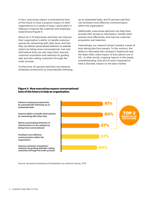In fact, executives expect conversational bots of the future to have a positive impact on their organizations in a variety of ways—particularly in helping to improve the customer and employee experiences (Figure 1).

About six in 10 executives said bots can improve their organization's ability to handle customer queries by networking with other bots, and that they can deliver personalized attention to website visitors by being more conversational. Just over half believe bots can also help them improve customer acquisition and retention by guiding web and tele-calling customers through the order process.

Furthermore, 61 percent said bots can enhance employee productivity by automatically following up on scheduled tasks, and 57 percent said they can facilitate more effective communication within the organization.

Additionally, executives said bots can help them provide 24x7 access to information, handle client queries more effectively, and improve customer acquisition and retention.

Interestingly, our research doesn't predict a wave of bots taking jobs from people. To the contrary, the ability to rationalize the company's headcount was the least-often cited impact of bots (about one in 10). In other words, ongoing reports in the media notwithstanding, bots and AI aren't expected to have a dramatic impact on the labor market.

#### Figure 1: How executives expect conversational bots of the future to help an organization.



*Source: Accenture Experience Orchestration as a Service Survey, 2017*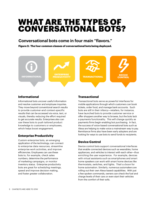# WHAT ARE THE TYPES OF CONVERSATIONAL BOTS?

## **Conversational bots come in four main "flavors."**

Figure 2: The four common classes of conversational bots being deployed.



#### **Informational**

Informational bots uncover useful information and resolve customer and employee inquiries. They move beyond conventional search results to provide customer-and context-specific results that can be accessed via voice, text, or visuals, thereby reducing the effort required to get accurate results. Enterprises also can use these bots to push tailored product knowledge to customers or employees, which helps boost engagement.

#### **Enterprise Productivity**

Custom enterprise bots, an emerging application of the technology, can connect to enterprise data resources, streamline enterprise work activities, and improve efficiencies. Employees can use these bots to, for example, check sales numbers, determine the performance of marketing campaigns, or monitor inventory status. Enterprise productivity bots are great for scheduling meetings, speed and improve decision making, and foster greater collaboration.

#### **Transactional**

Transactional bots serve as powerful interfaces for mobile applications through which customers can book tickets, order food, and manage bank accounts. Such bots are still in their infancy—retailers, for instance, have launched bots to provide customer service or offer shoppers another way to browse, but the bots lack a payments functionality. This will change quickly as payments firms begin enabling bot purchasing. In fact, the success of voice-based conversational bots such as Alexa are helping to make voice a mainstream way to pay. Remittance firms also have been early adopters and are looking for ways to use bots to send funds to recipients.

#### **Device Control**

Device control bots support conversational interfaces that enable connected devices such as wearables, home appliances, and vehicles to interact with each other—thus enriching the user experience. For example, devices with virtual assistants such as smartphones and smart home speakers can work with smart home devices like thermostats, switches, and lights. That's a boon for home automation. Similarly, numerous automakers are rolling out their own Alexa-based capabilities. With just a few spoken commands, owners can check the fuel and charge levels of their cars or even start their vehicles from the comfort of their sofa.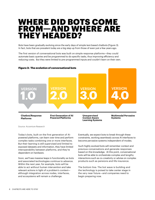# WHERE DID BOTS COME FROM—AND WHERE ARE THEY HEADED?

Bots have been gradually evolving since the early days of simple text-based chatbots (Figure 3). In fact, bots that are prevalent today are a big step up from those of even just a few years ago.

The first version of conversational bots was built on simple response platforms—they could automate basic queries and be programmed to do specific tasks, thus improving efficiency and reducing costs. But they were limited to pre-programmed inputs and couldn't learn on their own.



#### Figure 3: The evolution of conversational bots

*Source: Accenture Research* 

Today's bots, built on the first generation of AIpowered platforms, can learn over time and perform complex tasks combining one or more interfaces. But their learning is still supervised and limited to exposed datasets and information, they have limited interoperability between platforms, and they're dependent on hardware.

Soon, we'll see massive leaps in functionality as bots and associated technologies continue to advance. Within the next year, for example, bots will be able to act without human intervention and take relevant actions in light of a problem's context although integration across nodes, interfaces, and ecosystems will remain a challenge.

Eventually, we expect bots to break through these constraints, working seamlessly across AI interfaces to become pervasive systems independent of modes.

Such highly evolved bots will remember context and previous conversations and generate responses based on this knowledge. At this point, conversational bots will be able to orchestrate complex and lengthy interactions such as co-creativity or advise on complex products such as pensions and life insurance.

The bottom line: The bot wave is building and the technology is poised to take center stage in the very near future—and companies need to begin preparing now.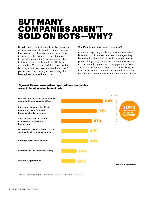# BUT MANY COMPANIES AREN'T SOLD ON BOTS—WHY?

Despite bots' potential benefits, a slight majority of companies are reluctant to embrace this new technology. Fifty-three percent of organizations in our research—primarily in the utilities and industrial equipment industries—have no plans to invest in conversational bots. Of these companies, 65 percent said their organization is taking a "wait and see" approach and just 9 percent reported having a clear strategy for leveraging conversational bots.

#### **What's holding back these "rejecters"?**

Executives reporting no plans to adopt conversational bots are most likely to cite three challenges they believe will make it difficult for bots to realize their potential (Figure 4). One is on the human side—they think users will be reluctant to engage with a bot and that's critical because conversational bots, at their core, are communications channels, and if no one wants to use them, they won't have much impact.

#### Figure 4: Reasons executives reported their companies are not planning to implement bots.



*Source: Accenture Experience Orchestration as a Service Survey, 2017*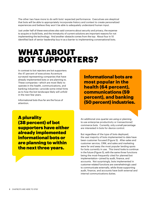The other two have more to do with bots' expected performance: Executives are skeptical that bots will be able to appropriately incorporate history and context to create personalized experiences and believe they won't be able to adequately understand human input.

Just under half of these executives also said concerns about security and privacy, the expense to acquire or build bots, and the immaturity of current solutions are important reasons for not implementing the technology. And another obstacle comes from the top: About four in 10 identified lack of senior leadership buy-in as a barrier to implementing conversational bots.

# WHAT ABOUT<br>BOT SUPPORTERS?

In contrast to bot rejecters are bot supporters: the 47 percent of executives Accenture surveyed representing companies that have already implemented bots or are planning to. These companies—which are most likely to operate in the health, communications, and banking industries—provide some initial hints as to how the bot landscape likely will unfold in the next few years.

Informational bots thus far are the focus of attention.

**Informational bots are most popular in the health (64 percent), communications (59 percent), and banking (50 percent) industries.**

A plurality (38 percent) of bot supporters have either already implemented informational bots or are planning to within the next three years.

An additional one-quarter are using or planning to use enterprise productivity or transactional/ commerce bots. Currently, only a small percentage are interested in bots for device control.

But regardless of the type of bots deployed, the vast majority of bots implemented to date have been customer focused (Figure 5). After-sales and customer service, CRM, and sales and marketing were far and away the most popular landing spots for bots currently in use. This trend looks to continue in the future (Figure 5), with the same three functions being the most-frequently cited for planned bot implementation—joined by audit, finance, and accounts. Not surprisingly, bots implemented in customer-related functions are overwhelmingly used to communicate externally, while those supporting audit, finance, and accounts have both external and internal communications duties.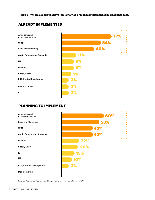**Figure 5: Where executives have implemented or plan to implement conversational bots.**

#### After-sales and Customer Service **77% 54% 40% 11% 8% 8% 5% 3% 3% 3%** CRM Sales and Marketing Audit, Finance, and Accounts HR Finance Supply Chain R&D/ProductDevelopment Manufacturing ICT

### **ALREADY IMPLEMENTED**

#### **PLANNING TO IMPLEMENT**



*Source: Accenture Experience Orchestration as a Service Survey, 2017*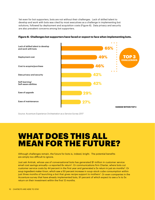Yet even for bot supporters, bots are not without their challenges. Lack of skilled talent to develop and work with bots was cited by most executives as a challenge in implementing bot solutions, followed by deployment and acquisition costs (Figure 6). Data privacy and security are also prevalent concerns among bot supporters.



**Figure 6: Challenges bot supporters have faced or expect to face when implementing bots.**

*Source: Accenture Experience Orchestration as a Service Survey 2017*

# WHAT DOES THIS ALL MEAN FOR THE FUTURE?

Although challenges remain, the future for bots is, indeed, bright. The potential benefits are simply too difficult to ignore.

Just ask Amtrak, whose use of conversational bots has generated \$1 million in customer service email cost savings annually—a reported 8x return<sup>2</sup>. Or communications firm Charter, where bots cut customer service costs by 44 percent in the first year and generated a 5x return in just six months<sup>3</sup>. Or soup ingredient maker Knorr, which saw a 50 percent increase in soup-stock cube consumption within just three months of launching a bot that gives recipe support to mothers<sup>4</sup>. Or even companies in the Accenture survey that have already implemented bots, 91 percent of which expect to see a 1x to 5x return on their investment within the first 12 months.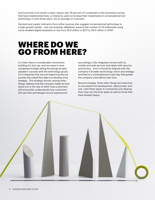Such promise is no doubt a major reason why 78 percent of companies in the Accenture survey that have implemented bots, or intend to, plan to increase their investments in conversational bot technology in next three years—by an average of 3 percent.

Demand and supply indicators from other sources also suggest conversational technology is a high-growth market. Just one example: eMarketer expects the number of US millennials using voice-enabled digital assistants to rise from 29.9 million in 2017 to 39.5 million in 20195.

# WHERE DO WE GO FROM HERE?

It's clear there's considerable momentum building for bot use, and we expect more companies to begin taking the plunge as early adopters' success with the technology grows. For companies that are just beginning the bot journey, the critical first step is to develop a bot strategy. This strategy should, among other things, address how the company makes its bots stand out in the sea of other bots customers will encounter; understands how customers will use bots and designs its bot experiences

accordingly; fully integrates its bots with its mobile and web service; and deals with security and privacy. And it should be aligned with the company's broader technology vision and strategy and lead to a comprehensive road map that guides the company's bot efforts over time.

Beyond strategy, three other things are important to successful bot development, deployment, and use—and these apply to companies just dipping their toes into the bots water as well as those that have already begun.

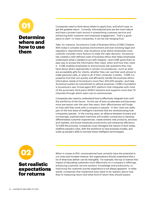# Determine where and how to use them 01

Companies need to think about where to apply bots, and which type, to get the greatest return. Currently, informational bots are the most mature and have a proven track record in streamlining customer service and enhancing both customer and employee engagement. That's a good place to start—in many companies, it can be low-hanging fruit.

Take, for instance, Accenture's Code of Business Ethics (COBE) Chatbot. With today's complex business environment and ever-evolving legal and regulatory requirements, new situations arise where employees must carefully consider many factors to make the right decision. Accenture has created a well-defined code of business ethics that helps employees understand what's needed to act with integrity—and COBE gives them an easy way to access the information they need, when and how they need it. COBE enables employees to anonymously ask questions they may have about what's appropriate in certain circumstances—such as what are acceptable gifts for clients, whether they can use their work phone to make personal calls, or what to do if their computer is stolen. COBE is a powerful tool that can quickly and efficiently handle the business ethics information needs of Accenture's more than 435,000 people—and help Accenture sustain its commitment to ethical practices. COBE's foundation is Accenture's own Virtual agent BOT platform that integrates with most of the prominent third-party AI/NLP solutions and supports more than 10 channels through which users can to communicate.

Companies also need to understand how to effectively integrate bots with the workforce of the future. As the use of bots accelerates and becomes more pervasive over the next few years, their effectiveness will hinge on how well they work with a company's people. In fact, bots are really part of the first wave of intelligent machines that are revolutionizing how companies operate. In the coming years, an alliance between humans and increasingly sophisticated machines will enable companies to develop differentiated customer experiences; create entirely new products, services and markets; and boost employee productivity and enterprise efficiency. To fulfill this promise, companies must reimagine the nature of work today, redefine people's roles, shift the workforce to new business models, and scale up people's skills to harness these intelligent technologies.



When it comes to ROI, conversational bots certainly have the potential to cut costs and increase revenue. But organizations should understand that a lot of what bots deliver can be intangible. For example, the top-or bottom-line impact of educating customers more effectively on a company's offerings, enhancing customer service workers' knowledge and productivity, or improving the customer journey experience is not always apparent. In other words, companies that implement bots need to be realistic about how they're measuring return and what kind of return they should expect.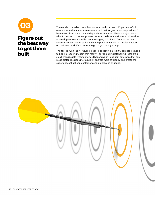

## Figure out the best way to get them built

There's also the talent crunch to contend with. Indeed, 60 percent of all executives in the Accenture research said their organization simply doesn't have the skills to develop and deploy bots in house. That's a major reason why 54 percent of bot supporters prefer to collaborate with external vendors to develop conversational bots or messaging solutions. Companies need to assess whether they're sufficiently equipped to handle bot implementation on their own and, if not, where to go to get the right help.

The fact is, with the AI future closer to becoming a reality, companies need to begin preparing to join that reality—or risk getting left behind. Bots are a small, manageable first step toward becoming an intelligent enterprise that can make better decisions more quickly, operate more efficiently, and create the experiences that keep customers and employees engaged.

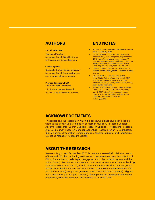## **AUTHORS**

#### **Karthik Srinivasan**

Managing Director— Accenture Digital, Digital Platforms karthik.srinivas[a@accenture.com](mailto:karthik.srinivasa%40accenture.com?subject=)

#### **Cecilia Nguyen**

Corporate Strategy Senior Manager— Accenture Digital, Growth & Strategy cecilia.nguyen[@accenture.com](mailto:cecilia.nguyen%40accenture.com?subject=)

#### **Praveen Tanguturi, Ph.D.**

Senior Thought Leadership Principal—Accenture Research praveen.tangutur[i@accenture.com](mailto:praveen.tanguturi%40accenture.com?subject=)

## $\overline{END}$  NOTES

- **1** Source: Accenture Exp[er](http://nextit.com/case-studies/amtrak)ience Orchestration as a Service Survey, 2017
- application curver, 2017<br>**2** Daniel Faggella, 7 Chatbot Use Cases That Actually Work, TechEmergence, September 15, 2017, https://www.techemergence.com/7enatbot-use-cases-that-actually-work); Helping<br>a railroad service conduct business, Next IT Corp, http://nextit.com/case-studies/amtrak [chatbot-use-cases-that-actually-work/; Helping](http://nextit.com/case-studies/amtrak)
- **3** Charter Communications improves speed of service, Next IT, [http://nextit.com/case-studies/]( http://nextit.com/case-studies/charter
)<br>. [charter]( http://nextit.com/case-studies/charter
)
- **4** LINE ChatBot case study: Knorr Auntie reply,Digital Training Academy, March 2017, casestudies/2017/03/line\_chatbot\_case\_study\_ [http://www.digitaltrainingacademy.com/]( http://www.digitaltrainingacademy.com/casestudies/2017/03/line_chatbot_case_study_knorr_auntie_repl) [knorr\\_auntie\\_reply.php]( http://www.digitaltrainingacademy.com/casestudies/2017/03/line_chatbot_case_study_knorr_auntie_repl)
- environment at the Lepiy.php<br>**5** eMarketer, US Voice-Enabled Digital Assistant future home buyers could be immersed in an Users, by Generation, 2016-2019 (millions), May 3, 2017, https://www.emarketer.com/ Chart/US-Voice-Enabled-Digital-Assistant-<br>... Users-by-Generation-2016-2019-<br>millions/207532 [millions/207532.](http://://www.emarketer.com/Chart/US-Voice-Enabled-Digital-Assistant-Users-by-Generation-2016-2019-      mi)

## **ACKNOWLEDGEMENTS**

This report, and the research on which it is based, would not have been possible This report, and the research off which it is based, would not have been possible<br>without the generous participation of Morgan Mullooly, Research Specialist, minout the generous participation of morgan manoory, research opecialist,<br>Accenture Research, Sachin Guddad, Research Specialist, Accenture Research, Abberhard Research, Sachin Sadada, Research opecialist, Accenture Research,<br>Ajay Garg, Survey Research Manager, Accenture Research, Anjan R. Coimbatore,  $\frac{1}{2}$  the home purchase purchase  $\frac{1}{2}$  the bank  $\frac{1}{2}$  of  $\frac{1}{2}$  the bank  $\frac{1}{2}$ Digital Business Integration Senior Manager, Accenture Digital, and John Garza,<br>Marko Manager Marketing Manager, Accenture Digital.

## **ABOUT THE RESEARCH**

Between August and September 2017, Accenture surveyed 97 chief information officers and 255 chief technology officers in 12 countries (Germany, Australia, Brazil, China, France, Ireland, Italy, Japan, Singapore, Spain, the United Kingdom, and the United States). Respondents represented companies across nine industries (banking, insurance, electronics and high-tech, communications, retail, consumer goods and services, health, utilities, and industrial equipment) with annual revenue of at least \$500 million (one-quarter generate more than \$15 billion in revenue). Slightly more than three-quarters (76.7 percent) of companies are business-to-consumer enterprises, while the remainder are business-to-business firms.